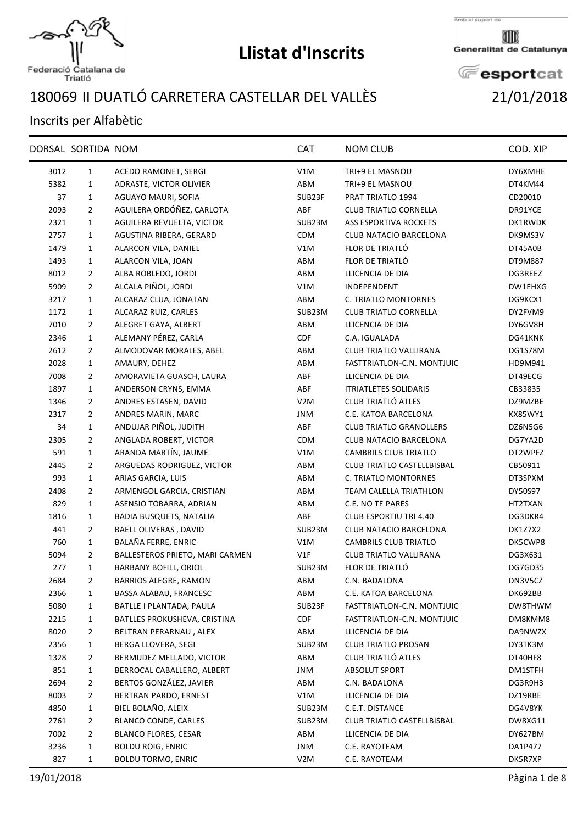

Federació Catalana de<br>Triatló

## **Llistat d'Inscrits**

Amb el suport de

Generalitat de Catalunya

**E**esportcat

## II DUATLÓ CARRETERA CASTELLAR DEL VALLÈS 21/01/2018

## Inscrits per Alfabètic

|      | DORSAL SORTIDA NOM |                                 | <b>CAT</b>       | <b>NOM CLUB</b>                | COD. XIP |
|------|--------------------|---------------------------------|------------------|--------------------------------|----------|
| 3012 | $\mathbf{1}$       | ACEDO RAMONET, SERGI            | V1M              | TRI+9 EL MASNOU                | DY6XMHE  |
| 5382 | $\mathbf{1}$       | ADRASTE, VICTOR OLIVIER         | ABM              | TRI+9 EL MASNOU                | DT4KM44  |
| 37   | $\mathbf{1}$       | AGUAYO MAURI, SOFIA             | SUB23F           | PRAT TRIATLO 1994              | CD20010  |
| 2093 | $\overline{2}$     | AGUILERA ORDÓÑEZ, CARLOTA       | ABF              | <b>CLUB TRIATLO CORNELLA</b>   | DR91YCE  |
| 2321 | $\mathbf{1}$       | AGUILERA REVUELTA, VICTOR       | SUB23M           | <b>ASS ESPORTIVA ROCKETS</b>   | DK1RWDK  |
| 2757 | $\mathbf{1}$       | AGUSTINA RIBERA, GERARD         | CDM              | CLUB NATACIO BARCELONA         | DK9MS3V  |
| 1479 | 1                  | ALARCON VILA, DANIEL            | V1M              | FLOR DE TRIATLÓ                | DT45A0B  |
| 1493 | $\mathbf{1}$       | ALARCON VILA, JOAN              | ABM              | FLOR DE TRIATLÓ                | DT9M887  |
| 8012 | $\overline{2}$     | ALBA ROBLEDO, JORDI             | ABM              | LLICENCIA DE DIA               | DG3REEZ  |
| 5909 | $\overline{2}$     | ALCALA PIÑOL, JORDI             | V1M              | INDEPENDENT                    | DW1EHXG  |
| 3217 | $\mathbf{1}$       | ALCARAZ CLUA, JONATAN           | ABM              | C. TRIATLO MONTORNES           | DG9KCX1  |
| 1172 | $\mathbf{1}$       | ALCARAZ RUIZ, CARLES            | SUB23M           | <b>CLUB TRIATLO CORNELLA</b>   | DY2FVM9  |
| 7010 | $\overline{2}$     | ALEGRET GAYA, ALBERT            | ABM              | LLICENCIA DE DIA               | DY6GV8H  |
| 2346 | $\mathbf{1}$       | ALEMANY PÉREZ, CARLA            | <b>CDF</b>       | C.A. IGUALADA                  | DG41KNK  |
| 2612 | $\overline{2}$     | ALMODOVAR MORALES, ABEL         | ABM              | CLUB TRIATLO VALLIRANA         | DG1S78M  |
| 2028 | $\mathbf{1}$       | AMAURY, DEHEZ                   | ABM              | FASTTRIATLON-C.N. MONTJUIC     | HD9M941  |
| 7008 | $\overline{2}$     | AMORAVIETA GUASCH, LAURA        | ABF              | LLICENCIA DE DIA               | DT49ECG  |
| 1897 | $\mathbf{1}$       | ANDERSON CRYNS, EMMA            | ABF              | <b>ITRIATLETES SOLIDARIS</b>   | CB33835  |
| 1346 | $\overline{2}$     | ANDRES ESTASEN, DAVID           | V <sub>2</sub> M | CLUB TRIATLÓ ATLES             | DZ9MZBE  |
| 2317 | $\overline{2}$     | ANDRES MARIN, MARC              | JNM              | C.E. KATOA BARCELONA           | KX85WY1  |
| 34   | $\mathbf{1}$       | ANDUJAR PIÑOL, JUDITH           | ABF              | <b>CLUB TRIATLO GRANOLLERS</b> | DZ6N5G6  |
| 2305 | $\overline{2}$     | ANGLADA ROBERT, VICTOR          | <b>CDM</b>       | <b>CLUB NATACIO BARCELONA</b>  | DG7YA2D  |
| 591  | $\mathbf{1}$       | ARANDA MARTÍN, JAUME            | V1M              | <b>CAMBRILS CLUB TRIATLO</b>   | DT2WPFZ  |
| 2445 | $\overline{2}$     | ARGUEDAS RODRIGUEZ, VICTOR      | ABM              | CLUB TRIATLO CASTELLBISBAL     | CB50911  |
| 993  | $\mathbf{1}$       | ARIAS GARCIA, LUIS              | ABM              | C. TRIATLO MONTORNES           | DT3SPXM  |
| 2408 | $\overline{2}$     | ARMENGOL GARCIA, CRISTIAN       | ABM              | TEAM CALELLA TRIATHLON         | DY50S97  |
| 829  | $\mathbf{1}$       | ASENSIO TOBARRA, ADRIAN         | ABM              | C.E. NO TE PARES               | HT2TXAN  |
| 1816 | $\mathbf{1}$       | <b>BADIA BUSQUETS, NATALIA</b>  | ABF              | CLUB ESPORTIU TRI 4.40         | DG3DKR4  |
| 441  | $\overline{2}$     | BAELL OLIVERAS, DAVID           | SUB23M           | CLUB NATACIO BARCELONA         | DK1Z7X2  |
| 760  | $\mathbf{1}$       | BALAÑA FERRE, ENRIC             | V1M              | CAMBRILS CLUB TRIATLO          | DK5CWP8  |
| 5094 | $\overline{2}$     | BALLESTEROS PRIETO, MARI CARMEN | V1F              | CLUB TRIATLO VALLIRANA         | DG3X631  |
| 277  | $\mathbf{1}$       | <b>BARBANY BOFILL, ORIOL</b>    | SUB23M           | FLOR DE TRIATLÓ                | DG7GD35  |
| 2684 | 2                  | <b>BARRIOS ALEGRE, RAMON</b>    | ABM              | C.N. BADALONA                  | DN3V5CZ  |
| 2366 | $\mathbf{1}$       | BASSA ALABAU, FRANCESC          | ABM              | C.E. KATOA BARCELONA           | DK692BB  |
| 5080 | $\mathbf{1}$       | BATLLE I PLANTADA, PAULA        | SUB23F           | FASTTRIATLON-C.N. MONTJUIC     | DW8THWM  |
| 2215 | $\mathbf{1}$       | BATLLES PROKUSHEVA, CRISTINA    | <b>CDF</b>       | FASTTRIATLON-C.N. MONTJUIC     | DM8KMM8  |
| 8020 | $\overline{2}$     | BELTRAN PERARNAU, ALEX          | ABM              | LLICENCIA DE DIA               | DA9NWZX  |
| 2356 | $\mathbf{1}$       | BERGA LLOVERA, SEGI             | SUB23M           | <b>CLUB TRIATLO PROSAN</b>     | DY3TK3M  |
| 1328 | $\overline{2}$     | BERMUDEZ MELLADO, VICTOR        | ABM              | CLUB TRIATLÓ ATLES             | DT40HF8  |
| 851  | $\mathbf{1}$       | BERROCAL CABALLERO, ALBERT      | JNM              | ABSOLUT SPORT                  | DM1STFH  |
| 2694 | $\overline{2}$     | BERTOS GONZÁLEZ, JAVIER         | ABM              | C.N. BADALONA                  | DG3R9H3  |
| 8003 | $\overline{2}$     | BERTRAN PARDO, ERNEST           | V1M              | LLICENCIA DE DIA               | DZ19RBE  |
| 4850 | $\mathbf{1}$       | BIEL BOLAÑO, ALEIX              | SUB23M           | C.E.T. DISTANCE                | DG4V8YK  |
| 2761 | 2                  | <b>BLANCO CONDE, CARLES</b>     | SUB23M           | CLUB TRIATLO CASTELLBISBAL     | DW8XG11  |
| 7002 | $\overline{2}$     | <b>BLANCO FLORES, CESAR</b>     | ABM              | LLICENCIA DE DIA               | DY627BM  |
| 3236 | $\mathbf{1}$       | <b>BOLDU ROIG, ENRIC</b>        | JNM              | C.E. RAYOTEAM                  | DA1P477  |
| 827  | $\mathbf{1}$       | <b>BOLDU TORMO, ENRIC</b>       | V2M              | C.E. RAYOTEAM                  | DK5R7XP  |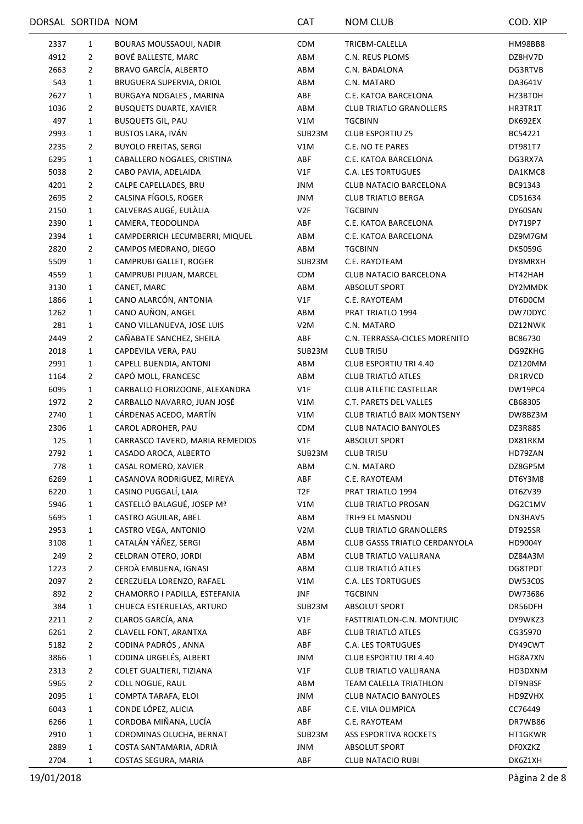|      | DORSAL SORTIDA NOM |                                 | CAT             | <b>NOM CLUB</b>                | COD. XIP       |
|------|--------------------|---------------------------------|-----------------|--------------------------------|----------------|
| 2337 | $\mathbf{1}$       | BOURAS MOUSSAOUI, NADIR         | <b>CDM</b>      | TRICBM-CALELLA                 | <b>HM98BB8</b> |
| 4912 | $\overline{2}$     | BOVÉ BALLESTE, MARC             | ABM             | C.N. REUS PLOMS                | DZ8HV7D        |
| 2663 | $\overline{2}$     | BRAVO GARCÍA, ALBERTO           | ABM             | C.N. BADALONA                  | DG3RTVB        |
| 543  | $\mathbf{1}$       | BRUGUERA SUPERVIA, ORIOL        | ABM             | C.N. MATARO                    | DA3641V        |
| 2627 | 1                  | BURGAYA NOGALES, MARINA         | ABF             | C.E. KATOA BARCELONA           | HZ3BTDH        |
| 1036 | 2                  | <b>BUSQUETS DUARTE, XAVIER</b>  | ABM             | <b>CLUB TRIATLO GRANOLLERS</b> | HR3TR1T        |
| 497  | $\mathbf{1}$       | <b>BUSQUETS GIL, PAU</b>        | V1M             | <b>TGCBINN</b>                 | DK692EX        |
| 2993 | $\mathbf{1}$       | BUSTOS LARA, IVÁN               | SUB23M          | <b>CLUB ESPORTIU Z5</b>        | BC54221        |
| 2235 | $\overline{2}$     | <b>BUYOLO FREITAS, SERGI</b>    | V1M             | C.E. NO TE PARES               | DT981T7        |
| 6295 | 1                  | CABALLERO NOGALES, CRISTINA     | ABF             | C.E. KATOA BARCELONA           | DG3RX7A        |
| 5038 | $\overline{2}$     | CABO PAVIA, ADELAIDA            | V1F             | <b>C.A. LES TORTUGUES</b>      | DA1KMC8        |
| 4201 | $\overline{2}$     | CALPE CAPELLADES, BRU           | <b>JNM</b>      | CLUB NATACIO BARCELONA         | BC91343        |
| 2695 | $\overline{2}$     | CALSINA FÍGOLS, ROGER           | <b>JNM</b>      | <b>CLUB TRIATLO BERGA</b>      | CD51634        |
| 2150 | $\mathbf{1}$       | CALVERAS AUGÉ, EULÀLIA          | V2F             | <b>TGCBINN</b>                 | DY60SAN        |
| 2390 | 1                  | CAMERA, TEODOLINDA              | ABF             | C.E. KATOA BARCELONA           | DY719P7        |
| 2394 | $\mathbf{1}$       | CAMPDERRICH LECUMBERRI, MIQUEL  | ABM             | C.E. KATOA BARCELONA           | DZ9M7GM        |
| 2820 | 2                  | CAMPOS MEDRANO, DIEGO           | ABM             | <b>TGCBINN</b>                 | <b>DK5059G</b> |
| 5509 | $\mathbf{1}$       | CAMPRUBI GALLET, ROGER          | SUB23M          | C.E. RAYOTEAM                  | DY8MRXH        |
| 4559 | $\mathbf{1}$       | CAMPRUBI PIJUAN, MARCEL         | <b>CDM</b>      | CLUB NATACIO BARCELONA         | HT42HAH        |
| 3130 | 1                  | CANET, MARC                     | ABM             | <b>ABSOLUT SPORT</b>           | DY2MMDK        |
|      |                    |                                 |                 |                                |                |
| 1866 | $\mathbf{1}$       | CANO ALARCÓN, ANTONIA           | V1F             | C.E. RAYOTEAM                  | DT6D0CM        |
| 1262 | 1                  | CANO AUÑON, ANGEL               | ABM             | PRAT TRIATLO 1994              | DW7DDYC        |
| 281  | 1                  | CANO VILLANUEVA, JOSE LUIS      | V2M             | C.N. MATARO                    | DZ12NWK        |
| 2449 | 2                  | CAÑABATE SANCHEZ, SHEILA        | ABF             | C.N. TERRASSA-CICLES MORENITO  | BC86730        |
| 2018 | $\mathbf{1}$       | CAPDEVILA VERA, PAU             | SUB23M          | <b>CLUB TRI5U</b>              | DG9ZKHG        |
| 2991 | 1                  | CAPELL BUENDIA, ANTONI          | ABM             | CLUB ESPORTIU TRI 4.40         | DZ120MM        |
| 1164 | $\overline{2}$     | CAPÓ MOLL, FRANCESC             | ABM             | CLUB TRIATLÓ ATLES             | DR1RVCD        |
| 6095 | $\mathbf{1}$       | CARBALLO FLORIZOONE, ALEXANDRA  | V1F             | <b>CLUB ATLETIC CASTELLAR</b>  | DW19PC4        |
| 1972 | 2                  | CARBALLO NAVARRO, JUAN JOSÉ     | V1M             | C.T. PARETS DEL VALLES         | CB68305        |
| 2740 | $\mathbf{1}$       | CÁRDENAS ACEDO, MARTÍN          | V1M             | CLUB TRIATLÓ BAIX MONTSENY     | DW8BZ3M        |
| 2306 | 1                  | CAROL ADROHER, PAU              | <b>CDM</b>      | <b>CLUB NATACIO BANYOLES</b>   | DZ3R88S        |
| 125  | 1                  | CARRASCO TAVERO, MARIA REMEDIOS | V1F             | <b>ABSOLUT SPORT</b>           | DX81RKM        |
| 2792 | 1                  | CASADO AROCA, ALBERTO           | SUB23M          | <b>CLUB TRI5U</b>              | HD79ZAN        |
| 778  | 1                  | CASAL ROMERO, XAVIER            | ABM             | C.N. MATARO                    | DZ8GP5M        |
| 6269 | 1                  | CASANOVA RODRIGUEZ, MIREYA      | ABF             | C.E. RAYOTEAM                  | DT6Y3M8        |
| 6220 | 1                  | CASINO PUGGALÍ, LAIA            | T <sub>2F</sub> | PRAT TRIATLO 1994              | DT6ZV39        |
| 5946 | $\mathbf{1}$       | CASTELLÓ BALAGUÉ, JOSEP Mª      | V1M             | <b>CLUB TRIATLO PROSAN</b>     | DG2C1MV        |
| 5695 | 1                  | CASTRO AGUILAR, ABEL            | ABM             | TRI+9 EL MASNOU                | DN3HAV5        |
| 2953 | 1                  | CASTRO VEGA, ANTONIO            | V2M             | <b>CLUB TRIATLO GRANOLLERS</b> | DT925SR        |
| 3108 | 1                  | CATALÁN YÁÑEZ, SERGI            | ABM             | CLUB GASSS TRIATLO CERDANYOLA  | HD9004Y        |
| 249  | 2                  | CELDRAN OTERO, JORDI            | ABM             | CLUB TRIATLO VALLIRANA         | DZ84A3M        |
| 1223 | $\overline{2}$     | CERDÀ EMBUENA, IGNASI           | ABM             | CLUB TRIATLÓ ATLES             | DG8TPDT        |
| 2097 | $\overline{2}$     | CEREZUELA LORENZO, RAFAEL       | V1M             | <b>C.A. LES TORTUGUES</b>      | DW53C0S        |
| 892  | $\overline{2}$     | CHAMORRO I PADILLA, ESTEFANIA   | JNF             | <b>TGCBINN</b>                 | DW73686        |
| 384  | 1                  | CHUECA ESTERUELAS, ARTURO       | SUB23M          | <b>ABSOLUT SPORT</b>           | DR56DFH        |
| 2211 | 2                  | CLAROS GARCÍA, ANA              | V1F             | FASTTRIATLON-C.N. MONTJUIC     | DY9WKZ3        |
| 6261 | 2                  | CLAVELL FONT, ARANTXA           | ABF             | CLUB TRIATLÓ ATLES             | CG35970        |
| 5182 | $\overline{2}$     | CODINA PADRÓS, ANNA             | ABF             | C.A. LES TORTUGUES             | DY49CWT        |
| 3866 | $\mathbf{1}$       | CODINA URGELÉS, ALBERT          | JNM             | CLUB ESPORTIU TRI 4.40         | HG8A7XN        |
| 2313 | 2                  | COLET GUALTIERI, TIZIANA        | V1F             | CLUB TRIATLO VALLIRANA         | HD3DXNM        |
| 5965 | 2                  | COLL NOGUE, RAUL                | ABM             | TEAM CALELLA TRIATHLON         | DT9NBSF        |
| 2095 | $\mathbf{1}$       | COMPTA TARAFA, ELOI             | JNM             | <b>CLUB NATACIO BANYOLES</b>   | HD9ZVHX        |
| 6043 | $\mathbf{1}$       | CONDE LÓPEZ, ALICIA             | ABF             | C.E. VILA OLIMPICA             | CC76449        |
| 6266 | $\mathbf{1}$       | CORDOBA MIÑANA, LUCÍA           | ABF             | C.E. RAYOTEAM                  | DR7WB86        |
| 2910 | $\mathbf{1}$       | COROMINAS OLUCHA, BERNAT        | SUB23M          | ASS ESPORTIVA ROCKETS          | HT1GKWR        |
| 2889 | 1                  | COSTA SANTAMARIA, ADRIÀ         | <b>JNM</b>      | <b>ABSOLUT SPORT</b>           | <b>DFOXZKZ</b> |
| 2704 | 1                  | COSTAS SEGURA, MARIA            | ABF             | <b>CLUB NATACIO RUBI</b>       | DK6Z1XH        |
|      |                    |                                 |                 |                                |                |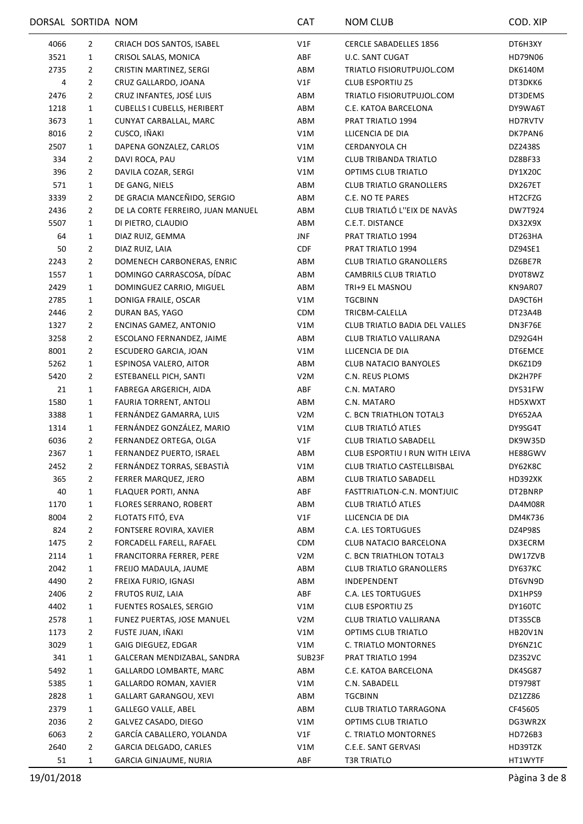|              | DORSAL SORTIDA NOM |                                    | <b>CAT</b>       | <b>NOM CLUB</b>                | COD. XIP       |
|--------------|--------------------|------------------------------------|------------------|--------------------------------|----------------|
| 4066         | 2                  | CRIACH DOS SANTOS, ISABEL          | V1F              | <b>CERCLE SABADELLES 1856</b>  | DT6H3XY        |
| 3521         | 1                  | CRISOL SALAS, MONICA               | ABF              | <b>U.C. SANT CUGAT</b>         | HD79N06        |
| 2735         | $\overline{2}$     | CRISTIN MARTINEZ, SERGI            | ABM              | TRIATLO FISIORUTPUJOL.COM      | <b>DK6140M</b> |
| 4            | $\overline{2}$     | CRUZ GALLARDO, JOANA               | V1F              | <b>CLUB ESPORTIU Z5</b>        | DT3DKK6        |
| 2476         | $\overline{2}$     | CRUZ INFANTES, JOSÉ LUIS           | ABM              | TRIATLO FISIORUTPUJOL.COM      | DT3DEMS        |
| 1218         | 1                  | <b>CUBELLS I CUBELLS, HERIBERT</b> | ABM              | C.E. KATOA BARCELONA           | DY9WA6T        |
| 3673         | 1                  | CUNYAT CARBALLAL, MARC             | ABM              | PRAT TRIATLO 1994              | HD7RVTV        |
| 8016         | 2                  | CUSCO, IÑAKI                       | V1M              | LLICENCIA DE DIA               | DK7PAN6        |
| 2507         | $\mathbf{1}$       | DAPENA GONZALEZ, CARLOS            | V1M              | <b>CERDANYOLA CH</b>           | DZ2438S        |
| 334          | 2                  | DAVI ROCA, PAU                     | V1M              | CLUB TRIBANDA TRIATLO          | DZ8BF33        |
| 396          | $\overline{2}$     | DAVILA COZAR, SERGI                | V1M              | OPTIMS CLUB TRIATLO            | DY1X20C        |
| 571          | $\mathbf{1}$       | DE GANG, NIELS                     | ABM              | <b>CLUB TRIATLO GRANOLLERS</b> | DX267ET        |
| 3339         | 2                  | DE GRACIA MANCEÑIDO, SERGIO        | ABM              | C.E. NO TE PARES               | HT2CFZG        |
| 2436         | 2                  | DE LA CORTE FERREIRO, JUAN MANUEL  | ABM              | CLUB TRIATLÓ L"EIX DE NAVÀS    | DW7T924        |
| 5507         | $\mathbf{1}$       | DI PIETRO, CLAUDIO                 | ABM              | C.E.T. DISTANCE                | DX32X9X        |
| 64           | $\mathbf{1}$       | DIAZ RUIZ, GEMMA                   | <b>JNF</b>       | PRAT TRIATLO 1994              | DT263HA        |
| 50           | $\overline{2}$     | DIAZ RUIZ, LAIA                    | CDF              | PRAT TRIATLO 1994              | DZ94SE1        |
| 2243         | 2                  | DOMENECH CARBONERAS, ENRIC         | ABM              | <b>CLUB TRIATLO GRANOLLERS</b> | DZ6BE7R        |
| 1557         | $\mathbf{1}$       | DOMINGO CARRASCOSA, DÍDAC          | ABM              | <b>CAMBRILS CLUB TRIATLO</b>   | DY0T8WZ        |
| 2429         | 1                  | DOMINGUEZ CARRIO, MIGUEL           | ABM              | TRI+9 EL MASNOU                | KN9AR07        |
| 2785         | $\mathbf{1}$       | DONIGA FRAILE, OSCAR               | V1M              | <b>TGCBINN</b>                 | DA9CT6H        |
| 2446         | $\overline{2}$     | DURAN BAS, YAGO                    | <b>CDM</b>       | TRICBM-CALELLA                 | DT23A4B        |
| 1327         | 2                  | ENCINAS GAMEZ, ANTONIO             | V1M              | CLUB TRIATLO BADIA DEL VALLES  | DN3F76E        |
| 3258         | 2                  | ESCOLANO FERNANDEZ, JAIME          | ABM              | CLUB TRIATLO VALLIRANA         | DZ92G4H        |
| 8001         | $\overline{2}$     | ESCUDERO GARCIA, JOAN              | V1M              | LLICENCIA DE DIA               | DT6EMCE        |
| 5262         | $\mathbf{1}$       | ESPINOSA VALERO, AITOR             | ABM              | <b>CLUB NATACIO BANYOLES</b>   | DK6Z1D9        |
| 5420         | 2                  | ESTEBANELL PICH, SANTI             | V <sub>2</sub> M | C.N. REUS PLOMS                | DK2H7PF        |
| 21           | 1                  | FABREGA ARGERICH, AIDA             | ABF              | C.N. MATARO                    | DY531FW        |
| 1580         | 1                  | FAURIA TORRENT, ANTOLI             | ABM              | C.N. MATARO                    | HD5XWXT        |
| 3388         | $\mathbf{1}$       | FERNÁNDEZ GAMARRA, LUIS            | V <sub>2</sub> M | C. BCN TRIATHLON TOTAL3        | DY652AA        |
| 1314         | $\mathbf{1}$       | FERNÁNDEZ GONZÁLEZ, MARIO          | V1M              | CLUB TRIATLÓ ATLES             | DY9SG4T        |
| 6036         | 2                  | FERNANDEZ ORTEGA, OLGA             | V1F              | <b>CLUB TRIATLO SABADELL</b>   | DK9W35D        |
| 2367         | 1                  | FERNANDEZ PUERTO, ISRAEL           | ABM              | CLUB ESPORTIU I RUN WITH LEIVA | HE88GWV        |
| 2452         | $\overline{2}$     | FERNÁNDEZ TORRAS, SEBASTIÀ         | V1M              | CLUB TRIATLO CASTELLBISBAL     | DY62K8C        |
| 365          | $\overline{2}$     | FERRER MARQUEZ, JERO               | ABM              | <b>CLUB TRIATLO SABADELL</b>   | HD392XK        |
| 40           | 1                  | FLAQUER PORTI, ANNA                | ABF              | FASTTRIATLON-C.N. MONTJUIC     | DT2BNRP        |
| 1170         | 1                  | FLORES SERRANO, ROBERT             | ABM              | CLUB TRIATLÓ ATLES             | DA4M08R        |
| 8004         | 2                  | FLOTATS FITÓ, EVA                  | V1F              | LLICENCIA DE DIA               | DM4K736        |
| 824          | $\overline{2}$     | FONTSERE ROVIRA, XAVIER            | ABM              | <b>C.A. LES TORTUGUES</b>      | DZ4P98S        |
| 1475         | $\overline{2}$     | FORCADELL FARELL, RAFAEL           | CDM              | CLUB NATACIO BARCELONA         | DX3ECRM        |
|              |                    | FRANCITORRA FERRER, PERE           | V <sub>2</sub> M | C. BCN TRIATHLON TOTAL3        | DW17ZVB        |
| 2114<br>2042 | 1                  | FREIJO MADAULA, JAUME              | ABM              | <b>CLUB TRIATLO GRANOLLERS</b> | DY637KC        |
|              | 1                  | FREIXA FURIO, IGNASI               | ABM              |                                | DT6VN9D        |
| 4490         | 2                  |                                    |                  | INDEPENDENT                    |                |
| 2406         | $\overline{2}$     | FRUTOS RUIZ, LAIA                  | ABF              | C.A. LES TORTUGUES             | DX1HPS9        |
| 4402         | 1                  | FUENTES ROSALES, SERGIO            | V1M              | <b>CLUB ESPORTIU Z5</b>        | DY160TC        |
| 2578         | 1                  | FUNEZ PUERTAS, JOSE MANUEL         | V <sub>2</sub> M | CLUB TRIATLO VALLIRANA         | DT3S5CB        |
| 1173         | 2                  | FUSTE JUAN, IÑAKI                  | V1M              | OPTIMS CLUB TRIATLO            | <b>HB20V1N</b> |
| 3029         | 1                  | GAIG DIEGUEZ, EDGAR                | V1M              | C. TRIATLO MONTORNES           | DY6NZ1C        |
| 341          | $\mathbf{1}$       | GALCERAN MENDIZABAL, SANDRA        | SUB23F           | PRAT TRIATLO 1994              | DZ3S2VC        |
| 5492         | 1                  | GALLARDO LOMBARTE, MARC            | ABM              | C.E. KATOA BARCELONA           | DK4SG87        |
| 5385         | $\mathbf{1}$       | <b>GALLARDO ROMAN, XAVIER</b>      | V1M              | C.N. SABADELL                  | DT9798T        |
| 2828         | 1                  | <b>GALLART GARANGOU, XEVI</b>      | ABM              | <b>TGCBINN</b>                 | DZ1ZZ86        |
| 2379         | 1                  | <b>GALLEGO VALLE, ABEL</b>         | ABM              | <b>CLUB TRIATLO TARRAGONA</b>  | CF45605        |
| 2036         | 2                  | GALVEZ CASADO, DIEGO               | V1M              | OPTIMS CLUB TRIATLO            | DG3WR2X        |
| 6063         | $\overline{2}$     | GARCÍA CABALLERO, YOLANDA          | V1F              | C. TRIATLO MONTORNES           | HD726B3        |
| 2640         | $\overline{2}$     | GARCIA DELGADO, CARLES             | V1M              | C.E.E. SANT GERVASI            | HD39TZK        |
| 51           | $\mathbf{1}$       | GARCIA GINJAUME, NURIA             | ABF              | <b>T3R TRIATLO</b>             | HT1WYTF        |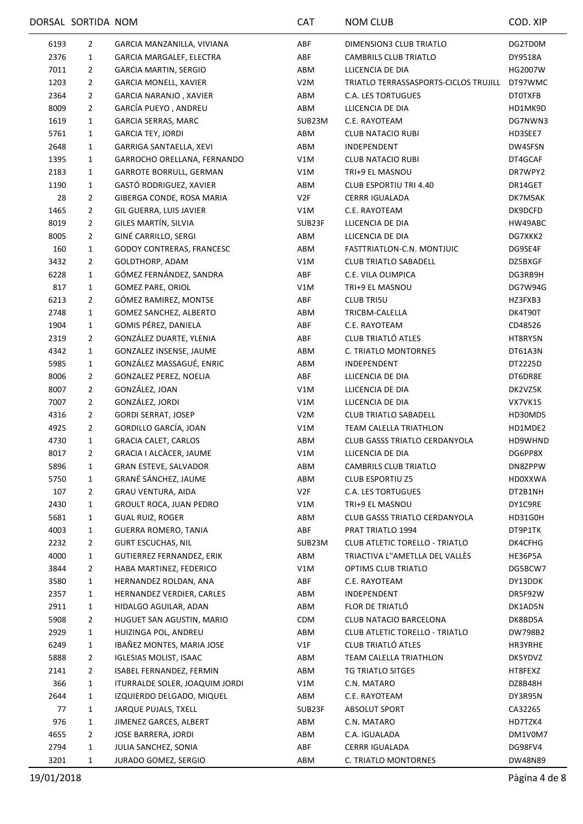|      | DORSAL SORTIDA NOM |                                  | <b>CAT</b>       | <b>NOM CLUB</b>                       | COD. XIP       |
|------|--------------------|----------------------------------|------------------|---------------------------------------|----------------|
| 6193 | $\overline{2}$     | GARCIA MANZANILLA, VIVIANA       | ABF              | DIMENSION3 CLUB TRIATLO               | DG2TD0M        |
| 2376 | $\mathbf{1}$       | GARCIA MARGALEF, ELECTRA         | ABF              | CAMBRILS CLUB TRIATLO                 | DY9518A        |
| 7011 | $\overline{2}$     | <b>GARCIA MARTIN, SERGIO</b>     | ABM              | LLICENCIA DE DIA                      | HG2007W        |
| 1203 | $\overline{2}$     | <b>GARCIA MONELL, XAVIER</b>     | V2M              | TRIATLO TERRASSASPORTS-CICLOS TRUJILL | DT97WMC        |
| 2364 | $\overline{2}$     | GARCIA NARANJO, XAVIER           | ABM              | <b>C.A. LES TORTUGUES</b>             | <b>DTOTXFB</b> |
| 8009 | $\overline{2}$     | GARCÍA PUEYO, ANDREU             | ABM              | LLICENCIA DE DIA                      | HD1MK9D        |
| 1619 | $\mathbf{1}$       | <b>GARCIA SERRAS, MARC</b>       | SUB23M           | C.E. RAYOTEAM                         | DG7NWN3        |
| 5761 | $\mathbf{1}$       | <b>GARCIA TEY, JORDI</b>         | ABM              | <b>CLUB NATACIO RUBI</b>              | HD3SEE7        |
| 2648 | 1                  | GARRIGA SANTAELLA, XEVI          | ABM              | <b>INDEPENDENT</b>                    | DW4SFSN        |
| 1395 | $\mathbf{1}$       | GARROCHO ORELLANA, FERNANDO      | V1M              | <b>CLUB NATACIO RUBI</b>              | DT4GCAF        |
| 2183 | $\mathbf{1}$       | GARROTE BORRULL, GERMAN          | V1M              | TRI+9 EL MASNOU                       | DR7WPY2        |
| 1190 | 1                  | GASTÓ RODRIGUEZ, XAVIER          | ABM              | <b>CLUB ESPORTIU TRI 4.40</b>         | DR14GET        |
| 28   | $\overline{2}$     | GIBERGA CONDE, ROSA MARIA        | V2F              | <b>CERRR IGUALADA</b>                 | DK7M5AK        |
| 1465 | $\overline{2}$     | GIL GUERRA, LUIS JAVIER          | V1M              | C.E. RAYOTEAM                         | DK9DCFD        |
| 8019 | $\overline{2}$     | GILES MARTÍN, SILVIA             | SUB23F           | LLICENCIA DE DIA                      | HW49ABC        |
| 8005 | $\overline{2}$     | GINÉ CARRILLO, SERGI             | ABM              | LLICENCIA DE DIA                      | DG7XKK2        |
| 160  | $\mathbf{1}$       | <b>GODOY CONTRERAS, FRANCESC</b> | ABM              | FASTTRIATLON-C.N. MONTJUIC            | DG9SE4F        |
| 3432 | $\overline{2}$     | GOLDTHORP, ADAM                  | V1M              | <b>CLUB TRIATLO SABADELL</b>          | DZ5BXGF        |
| 6228 | $\mathbf{1}$       | GÓMEZ FERNÁNDEZ, SANDRA          | ABF              | C.E. VILA OLIMPICA                    | DG3RB9H        |
| 817  | $\mathbf{1}$       | <b>GOMEZ PARE, ORIOL</b>         | V1M              | TRI+9 EL MASNOU                       | DG7W94G        |
| 6213 |                    | GÓMEZ RAMIREZ, MONTSE            | ABF              | <b>CLUB TRI5U</b>                     |                |
|      | $\overline{2}$     |                                  |                  |                                       | HZ3FXB3        |
| 2748 | 1                  | GOMEZ SANCHEZ, ALBERTO           | ABM              | TRICBM-CALELLA                        | DK4T90T        |
| 1904 | $\mathbf{1}$       | GOMIS PÉREZ, DANIELA             | ABF              | C.E. RAYOTEAM<br>CLUB TRIATLÓ ATLES   | CD48526        |
| 2319 | $\overline{2}$     | GONZÁLEZ DUARTE, YLENIA          | ABF              |                                       | HT8RY5N        |
| 4342 | $\mathbf{1}$       | GONZALEZ INSENSE, JAUME          | ABM              | C. TRIATLO MONTORNES                  | DT61A3N        |
| 5985 | $\mathbf{1}$       | GONZÁLEZ MASSAGUÉ, ENRIC         | ABM              | INDEPENDENT                           | DT2225D        |
| 8006 | $\overline{2}$     | GONZALEZ PEREZ, NOELIA           | ABF              | LLICENCIA DE DIA                      | DT6DR8E        |
| 8007 | $\overline{2}$     | GONZÁLEZ, JOAN                   | V1M              | LLICENCIA DE DIA                      | DK2VZ5K        |
| 7007 | $\overline{2}$     | GONZÁLEZ, JORDI                  | V1M              | LLICENCIA DE DIA                      | VX7VK1S        |
| 4316 | $\overline{2}$     | <b>GORDI SERRAT, JOSEP</b>       | V <sub>2</sub> M | <b>CLUB TRIATLO SABADELL</b>          | HD30MD5        |
| 4925 | $\overline{2}$     | GORDILLO GARCÍA, JOAN            | V1M              | TEAM CALELLA TRIATHLON                | HD1MDE2        |
| 4730 | 1                  | <b>GRACIA CALET, CARLOS</b>      | ABM              | <b>CLUB GASSS TRIATLO CERDANYOLA</b>  | HD9WHND        |
| 8017 | $\overline{2}$     | GRACIA I ALCÀCER, JAUME          | V1M              | LLICENCIA DE DIA                      | DG6PP8X        |
| 5896 | 1                  | <b>GRAN ESTEVE, SALVADOR</b>     | ABM              | CAMBRILS CLUB TRIATLO                 | DN8ZPPW        |
| 5750 | 1                  | GRANÉ SÁNCHEZ, JAUME             | ABM              | <b>CLUB ESPORTIU Z5</b>               | HD0XXWA        |
| 107  | 2                  | <b>GRAU VENTURA, AIDA</b>        | V2F              | <b>C.A. LES TORTUGUES</b>             | DT2B1NH        |
| 2430 | $\mathbf{1}$       | <b>GROULT ROCA, JUAN PEDRO</b>   | V1M              | TRI+9 EL MASNOU                       | DY1C9RE        |
| 5681 | $\mathbf{1}$       | GUAL RUIZ, ROGER                 | ABM              | CLUB GASSS TRIATLO CERDANYOLA         | HD31G0H        |
| 4003 | $\mathbf{1}$       | <b>GUERRA ROMERO, TANIA</b>      | ABF              | PRAT TRIATLO 1994                     | DT9P1TK        |
| 2232 | 2                  | <b>GURT ESCUCHAS, NIL</b>        | SUB23M           | CLUB ATLETIC TORELLO - TRIATLO        | DK4CFHG        |
| 4000 | $\mathbf{1}$       | <b>GUTIERREZ FERNANDEZ, ERIK</b> | ABM              | TRIACTIVA L"AMETLLA DEL VALLÈS        | HE36P5A        |
| 3844 | 2                  | HABA MARTINEZ, FEDERICO          | V1M              | OPTIMS CLUB TRIATLO                   | DG5BCW7        |
| 3580 | $\mathbf{1}$       | HERNANDEZ ROLDAN, ANA            | ABF              | C.E. RAYOTEAM                         | DY13DDK        |
| 2357 | $\mathbf{1}$       | HERNANDEZ VERDIER, CARLES        | ABM              | INDEPENDENT                           | DR5F92W        |
| 2911 | 1                  | HIDALGO AGUILAR, ADAN            | ABM              | FLOR DE TRIATLÓ                       | DK1AD5N        |
| 5908 | 2                  | HUGUET SAN AGUSTIN, MARIO        | <b>CDM</b>       | CLUB NATACIO BARCELONA                | DK8BD5A        |
| 2929 | $\mathbf{1}$       | HUIZINGA POL, ANDREU             | ABM              | <b>CLUB ATLETIC TORELLO - TRIATLO</b> | DW798B2        |
| 6249 | $\mathbf{1}$       | IBAÑEZ MONTES, MARIA JOSE        | V1F              | CLUB TRIATLÓ ATLES                    | HR3YRHE        |
| 5888 | 2                  | <b>IGLESIAS MOLIST, ISAAC</b>    | ABM              | TEAM CALELLA TRIATHLON                | DK5YDVZ        |
| 2141 | $\overline{2}$     | ISABEL FERNANDEZ, FERMIN         | ABM              | TG TRIATLO SITGES                     | HT8FEXZ        |
| 366  | 1                  | ITURRALDE SOLER, JOAQUIM JORDI   | V1M              | C.N. MATARO                           | DZ8B48H        |
| 2644 | $\mathbf{1}$       | IZQUIERDO DELGADO, MIQUEL        | ABM              | C.E. RAYOTEAM                         | DY3R95N        |
| 77   | 1                  | JARQUE PUJALS, TXELL             | SUB23F           | <b>ABSOLUT SPORT</b>                  | CA32265        |
| 976  | $\mathbf{1}$       | JIMENEZ GARCES, ALBERT           | ABM              | C.N. MATARO                           | HD7TZK4        |
| 4655 | $\overline{2}$     | JOSE BARRERA, JORDI              | ABM              | C.A. IGUALADA                         | DM1V0M7        |
| 2794 | $\mathbf{1}$       | JULIA SANCHEZ, SONIA             | ABF              | <b>CERRR IGUALADA</b>                 | DG98FV4        |
| 3201 | $\mathbf{1}$       | JURADO GOMEZ, SERGIO             | ABM              | C. TRIATLO MONTORNES                  | DW48N89        |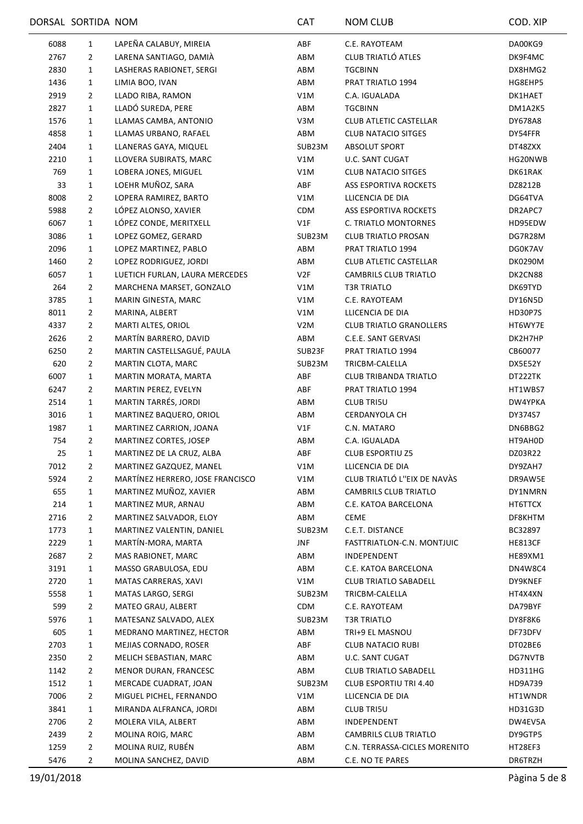|      | DORSAL SORTIDA NOM |                                                            | CAT              | <b>NOM CLUB</b>                                 | COD. XIP       |
|------|--------------------|------------------------------------------------------------|------------------|-------------------------------------------------|----------------|
| 6088 | $\mathbf{1}$       | LAPEÑA CALABUY, MIREIA                                     | ABF              | C.E. RAYOTEAM                                   | DA00KG9        |
| 2767 | $\overline{2}$     | LARENA SANTIAGO, DAMIÀ                                     | ABM              | CLUB TRIATLÓ ATLES                              | DK9F4MC        |
| 2830 | $\mathbf{1}$       | LASHERAS RABIONET, SERGI                                   | ABM              | <b>TGCBINN</b>                                  | DX8HMG2        |
| 1436 | $\mathbf{1}$       | LIMIA BOO, IVAN                                            | ABM              | PRAT TRIATLO 1994                               | HG8EHP5        |
| 2919 | $\overline{2}$     | LLADO RIBA, RAMON                                          | V1M              | C.A. IGUALADA                                   | DK1HAET        |
| 2827 | 1                  | LLADÓ SUREDA, PERE                                         | ABM              | <b>TGCBINN</b>                                  | DM1A2K5        |
| 1576 | $\mathbf{1}$       | LLAMAS CAMBA, ANTONIO                                      | V3M              | <b>CLUB ATLETIC CASTELLAR</b>                   | DY678A8        |
| 4858 | 1                  | LLAMAS URBANO, RAFAEL                                      | ABM              | <b>CLUB NATACIO SITGES</b>                      | DY54FFR        |
| 2404 | 1                  | LLANERAS GAYA, MIQUEL                                      | SUB23M           | ABSOLUT SPORT                                   | DT48ZXX        |
| 2210 | 1                  | LLOVERA SUBIRATS, MARC                                     | V1M              | U.C. SANT CUGAT                                 | HG20NWB        |
| 769  | 1                  | LOBERA JONES, MIGUEL                                       | V1M              | <b>CLUB NATACIO SITGES</b>                      | DK61RAK        |
| 33   | 1                  | LOEHR MUÑOZ, SARA                                          | ABF              | ASS ESPORTIVA ROCKETS                           | DZ8212B        |
| 8008 | $\overline{2}$     | LOPERA RAMIREZ, BARTO                                      | V1M              | LLICENCIA DE DIA                                | DG64TVA        |
| 5988 | $\overline{2}$     | LÓPEZ ALONSO, XAVIER                                       | <b>CDM</b>       | <b>ASS ESPORTIVA ROCKETS</b>                    | DR2APC7        |
| 6067 | $\mathbf{1}$       | LÓPEZ CONDE, MERITXELL                                     | V1F              | C. TRIATLO MONTORNES                            | HD95EDW        |
| 3086 | 1                  | LOPEZ GOMEZ, GERARD                                        | SUB23M           | <b>CLUB TRIATLO PROSAN</b>                      | DG7R28M        |
| 2096 | 1                  | LOPEZ MARTINEZ, PABLO                                      | ABM              | PRAT TRIATLO 1994                               | DG0K7AV        |
| 1460 | $\overline{2}$     | LOPEZ RODRIGUEZ, JORDI                                     | ABM              | <b>CLUB ATLETIC CASTELLAR</b>                   | DK0290M        |
| 6057 | 1                  | LUETICH FURLAN, LAURA MERCEDES                             | V2F              | <b>CAMBRILS CLUB TRIATLO</b>                    | DK2CN88        |
| 264  | 2                  | MARCHENA MARSET, GONZALO                                   | V1M              | <b>T3R TRIATLO</b>                              | DK69TYD        |
| 3785 | 1                  | MARIN GINESTA, MARC                                        | V1M              | C.E. RAYOTEAM                                   | DY16N5D        |
| 8011 | $\overline{2}$     | MARINA, ALBERT                                             | V1M              | LLICENCIA DE DIA                                | HD30P7S        |
| 4337 | 2                  | MARTI ALTES, ORIOL                                         | V <sub>2</sub> M | <b>CLUB TRIATLO GRANOLLERS</b>                  | HT6WY7E        |
| 2626 | $\overline{2}$     | MARTÍN BARRERO, DAVID                                      | ABM              | C.E.E. SANT GERVASI                             | DK2H7HP        |
| 6250 | $\overline{2}$     | MARTIN CASTELLSAGUÉ, PAULA                                 | SUB23F           | PRAT TRIATLO 1994                               | CB60077        |
| 620  | $\overline{2}$     | MARTIN CLOTA, MARC                                         | SUB23M           | TRICBM-CALELLA                                  | DX5E52Y        |
| 6007 | $\mathbf{1}$       | MARTIN MORATA, MARTA                                       | ABF              | CLUB TRIBANDA TRIATLO                           | DT222TK        |
| 6247 | $\overline{2}$     | MARTIN PEREZ, EVELYN                                       | ABF              | PRAT TRIATLO 1994                               | HT1WBS7        |
| 2514 | $\mathbf{1}$       | MARTIN TARRÉS, JORDI                                       | ABM              | <b>CLUB TRI5U</b>                               | DW4YPKA        |
| 3016 | 1                  | MARTINEZ BAQUERO, ORIOL                                    | ABM              | CERDANYOLA CH                                   | DY374S7        |
| 1987 | 1                  | MARTINEZ CARRION, JOANA                                    | V1F              | C.N. MATARO                                     | DN6BBG2        |
| 754  | $\overline{2}$     | MARTINEZ CORTES, JOSEP                                     | ABM              | C.A. IGUALADA                                   | HT9AH0D        |
| 25   | 1                  |                                                            | ABF              | <b>CLUB ESPORTIU Z5</b>                         |                |
|      |                    | MARTINEZ DE LA CRUZ, ALBA                                  |                  |                                                 | DZ03R22        |
| 7012 | $\overline{2}$     | MARTINEZ GAZQUEZ, MANEL                                    | V1M              | LLICENCIA DE DIA<br>CLUB TRIATLÓ L"EIX DE NAVÀS | DY9ZAH7        |
| 5924 | $\mathbf{2}$       | MARTÍNEZ HERRERO, JOSE FRANCISCO<br>MARTINEZ MUÑOZ, XAVIER | V1M              |                                                 | DR9AW5E        |
| 655  | $\mathbf{1}$       |                                                            | ABM              | <b>CAMBRILS CLUB TRIATLO</b>                    | DY1NMRN        |
| 214  | 1                  | MARTINEZ MUR, ARNAU                                        | ABM              | C.E. KATOA BARCELONA                            | HT6TTCX        |
| 2716 | $\overline{2}$     | MARTINEZ SALVADOR, ELOY                                    | ABM              | <b>CEME</b>                                     | DF8KHTM        |
| 1773 | 1                  | MARTINEZ VALENTIN, DANIEL                                  | SUB23M           | C.E.T. DISTANCE                                 | BC32897        |
| 2229 | 1                  | MARTÍN-MORA, MARTA                                         | JNF              | FASTTRIATLON-C.N. MONTJUIC                      | <b>HE813CF</b> |
| 2687 | $\overline{2}$     | MAS RABIONET, MARC                                         | ABM              | INDEPENDENT                                     | <b>HE89XM1</b> |
| 3191 | 1                  | MASSO GRABULOSA, EDU                                       | ABM              | C.E. KATOA BARCELONA                            | DN4W8C4        |
| 2720 | 1                  | MATAS CARRERAS, XAVI                                       | V1M              | <b>CLUB TRIATLO SABADELL</b>                    | DY9KNEF        |
| 5558 | 1                  | MATAS LARGO, SERGI                                         | SUB23M           | TRICBM-CALELLA                                  | HT4X4XN        |
| 599  | 2                  | MATEO GRAU, ALBERT                                         | <b>CDM</b>       | C.E. RAYOTEAM                                   | DA79BYF        |
| 5976 | $\mathbf{1}$       | MATESANZ SALVADO, ALEX                                     | SUB23M           | <b>T3R TRIATLO</b>                              | DY8F8K6        |
| 605  | 1                  | MEDRANO MARTINEZ, HECTOR                                   | ABM              | TRI+9 EL MASNOU                                 | DF73DFV        |
| 2703 | 1                  | MEJIAS CORNADO, ROSER                                      | ABF              | <b>CLUB NATACIO RUBI</b>                        | DT02BE6        |
| 2350 | $\overline{2}$     | MELICH SEBASTIAN, MARC                                     | ABM              | U.C. SANT CUGAT                                 | DG7NVTB        |
| 1142 | $\overline{2}$     | MENOR DURAN, FRANCESC                                      | ABM              | <b>CLUB TRIATLO SABADELL</b>                    | HD311HG        |
| 1512 | 1                  | MERCADE CUADRAT, JOAN                                      | SUB23M           | CLUB ESPORTIU TRI 4.40                          | HD9A739        |
| 7006 | $\overline{2}$     | MIGUEL PICHEL, FERNANDO                                    | V1M              | LLICENCIA DE DIA                                | HT1WNDR        |
| 3841 | $\mathbf{1}$       | MIRANDA ALFRANCA, JORDI                                    | ABM              | <b>CLUB TRI5U</b>                               | HD31G3D        |
| 2706 | 2                  | MOLERA VILA, ALBERT                                        | ABM              | INDEPENDENT                                     | DW4EV5A        |
| 2439 | $\overline{2}$     | MOLINA ROIG, MARC                                          | ABM              | CAMBRILS CLUB TRIATLO                           | DY9GTP5        |
| 1259 | $\overline{2}$     | MOLINA RUIZ, RUBÉN                                         | ABM              | C.N. TERRASSA-CICLES MORENITO                   | HT28EF3        |
| 5476 | $\overline{2}$     | MOLINA SANCHEZ, DAVID                                      | ABM              | C.E. NO TE PARES                                | DR6TRZH        |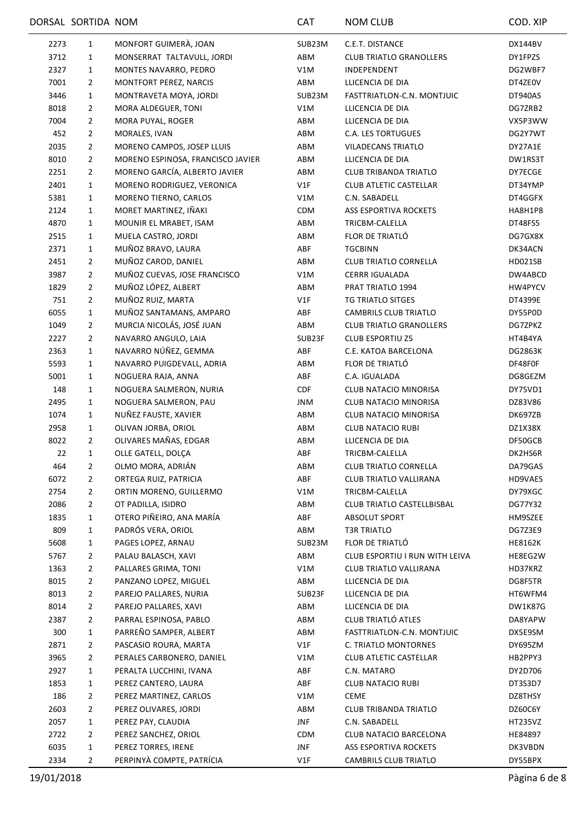|      | DORSAL SORTIDA NOM |                                   | <b>CAT</b> | <b>NOM CLUB</b>                | COD. XIP       |
|------|--------------------|-----------------------------------|------------|--------------------------------|----------------|
| 2273 | $\mathbf{1}$       | MONFORT GUIMERÀ, JOAN             | SUB23M     | C.E.T. DISTANCE                | DX144BV        |
| 3712 | 1                  | MONSERRAT TALTAVULL, JORDI        | ABM        | <b>CLUB TRIATLO GRANOLLERS</b> | DY1FPZS        |
| 2327 | 1                  | MONTES NAVARRO, PEDRO             | V1M        | INDEPENDENT                    | DG2WBF7        |
| 7001 | $\overline{2}$     | MONTFORT PEREZ, NARCIS            | ABM        | LLICENCIA DE DIA               | DT4ZE0V        |
| 3446 | $\mathbf{1}$       | MONTRAVETA MOYA, JORDI            | SUB23M     | FASTTRIATLON-C.N. MONTJUIC     | DT940AS        |
| 8018 | $\overline{2}$     | MORA ALDEGUER, TONI               | V1M        | LLICENCIA DE DIA               | DG7ZRB2        |
| 7004 | $\overline{2}$     | MORA PUYAL, ROGER                 | ABM        | LLICENCIA DE DIA               | VX5P3WW        |
| 452  | $\overline{2}$     | MORALES, IVAN                     | ABM        | <b>C.A. LES TORTUGUES</b>      | DG2Y7WT        |
| 2035 | $\overline{2}$     | MORENO CAMPOS, JOSEP LLUIS        | ABM        | VILADECANS TRIATLO             | DY27A1E        |
| 8010 | $\overline{2}$     | MORENO ESPINOSA, FRANCISCO JAVIER | ABM        | LLICENCIA DE DIA               | DW1RS3T        |
| 2251 | 2                  | MORENO GARCÍA, ALBERTO JAVIER     | ABM        | <b>CLUB TRIBANDA TRIATLO</b>   | DY7ECGE        |
| 2401 | 1                  | MORENO RODRIGUEZ, VERONICA        | V1F        | CLUB ATLETIC CASTELLAR         | DT34YMP        |
| 5381 | 1                  | MORENO TIERNO, CARLOS             | V1M        | C.N. SABADELL                  | DT4GGFX        |
| 2124 | 1                  | MORET MARTINEZ, IÑAKI             | CDM        | ASS ESPORTIVA ROCKETS          | HA8H1P8        |
| 4870 | 1                  | MOUNIR EL MRABET, ISAM            | ABM        | TRICBM-CALELLA                 | DT48FS5        |
| 2515 | 1                  | MUELA CASTRO, JORDI               | ABM        | FLOR DE TRIATLÓ                | DG7GX8X        |
| 2371 | 1                  | MUÑOZ BRAVO, LAURA                | ABF        | <b>TGCBINN</b>                 | DK34ACN        |
| 2451 | $\overline{2}$     | MUÑOZ CAROD, DANIEL               | ABM        | <b>CLUB TRIATLO CORNELLA</b>   | HD021SB        |
| 3987 | $\overline{2}$     | MUÑOZ CUEVAS, JOSE FRANCISCO      | V1M        | <b>CERRR IGUALADA</b>          | DW4ABCD        |
| 1829 | $\overline{2}$     | MUÑOZ LÓPEZ, ALBERT               | ABM        | PRAT TRIATLO 1994              | HW4PYCV        |
| 751  | $\overline{2}$     | MUÑOZ RUIZ, MARTA                 | V1F        | TG TRIATLO SITGES              | DT4399E        |
| 6055 | $\mathbf{1}$       | MUÑOZ SANTAMANS, AMPARO           | ABF        | CAMBRILS CLUB TRIATLO          | DY55P0D        |
| 1049 | 2                  | MURCIA NICOLÁS, JOSÉ JUAN         | ABM        | <b>CLUB TRIATLO GRANOLLERS</b> | DG7ZPKZ        |
| 2227 | $\overline{2}$     | NAVARRO ANGULO, LAIA              | SUB23F     | <b>CLUB ESPORTIU Z5</b>        | HT4B4YA        |
| 2363 | 1                  | NAVARRO NÚÑEZ, GEMMA              | ABF        | C.E. KATOA BARCELONA           | <b>DG2863K</b> |
| 5593 | 1                  | NAVARRO PUIGDEVALL, ADRIA         | ABM        | FLOR DE TRIATLÓ                | DF48F0F        |
| 5001 | 1                  | NOGUERA RAJA, ANNA                | ABF        | C.A. IGUALADA                  | DG8GEZM        |
| 148  | 1                  | NOGUERA SALMERON, NURIA           | CDF        | CLUB NATACIO MINORISA          | DY75VD1        |
| 2495 | 1                  | NOGUERA SALMERON, PAU             | JNM        | CLUB NATACIO MINORISA          | DZ83V86        |
| 1074 | 1                  | NUÑEZ FAUSTE, XAVIER              | ABM        | CLUB NATACIO MINORISA          | DK697ZB        |
| 2958 | 1                  | OLIVAN JORBA, ORIOL               | ABM        | <b>CLUB NATACIO RUBI</b>       | DZ1X38X        |
| 8022 | 2                  | OLIVARES MAÑAS, EDGAR             | ABM        | LLICENCIA DE DIA               | DF50GCB        |
| 22   | 1                  | OLLE GATELL, DOLÇA                | ABF        | TRICBM-CALELLA                 | DK2HS6R        |
| 464  | $\overline{2}$     | OLMO MORA, ADRIÁN                 | ABM        | <b>CLUB TRIATLO CORNELLA</b>   | DA79GAS        |
| 6072 | $\overline{2}$     | ORTEGA RUIZ, PATRICIA             | ABF        | CLUB TRIATLO VALLIRANA         | HD9VAES        |
| 2754 | $\overline{2}$     | ORTIN MORENO, GUILLERMO           | V1M        | TRICBM-CALELLA                 | DY79XGC        |
| 2086 | $\overline{2}$     | OT PADILLA, ISIDRO                | ABM        | CLUB TRIATLO CASTELLBISBAL     | DG77Y32        |
| 1835 | 1                  | OTERO PIÑEIRO, ANA MARÍA          | ABF        | ABSOLUT SPORT                  | HM9SZEE        |
| 809  | 1                  | PADRÓS VERA, ORIOL                | ABM        | <b>T3R TRIATLO</b>             | DG7Z3E9        |
| 5608 | 1                  | PAGES LOPEZ, ARNAU                | SUB23M     | FLOR DE TRIATLÓ                | <b>HE8162K</b> |
| 5767 | $\overline{2}$     | PALAU BALASCH, XAVI               | ABM        | CLUB ESPORTIU I RUN WITH LEIVA | HE8EG2W        |
| 1363 | $\overline{2}$     | PALLARES GRIMA, TONI              | V1M        | CLUB TRIATLO VALLIRANA         | HD37KRZ        |
| 8015 | 2                  | PANZANO LOPEZ, MIGUEL             | ABM        | LLICENCIA DE DIA               | DG8F5TR        |
| 8013 | $\overline{2}$     | PAREJO PALLARES, NURIA            | SUB23F     | LLICENCIA DE DIA               | HT6WFM4        |
| 8014 | $\overline{2}$     | PAREJO PALLARES, XAVI             | ABM        | LLICENCIA DE DIA               | DW1K87G        |
| 2387 | $\overline{2}$     | PARRAL ESPINOSA, PABLO            | ABM        | CLUB TRIATLÓ ATLES             | DA8YAPW        |
| 300  | 1                  | PARREÑO SAMPER, ALBERT            | ABM        | FASTTRIATLON-C.N. MONTJUIC     | DX5E9SM        |
| 2871 | 2                  | PASCASIO ROURA, MARTA             | V1F        | C. TRIATLO MONTORNES           | DY695ZM        |
| 3965 | $\overline{2}$     | PERALES CARBONERO, DANIEL         | V1M        | <b>CLUB ATLETIC CASTELLAR</b>  | HB2PPY3        |
| 2927 | 1                  | PERALTA LUCCHINI, IVANA           | ABF        | C.N. MATARO                    | DY2D706        |
| 1853 | 1                  | PEREZ CANTERO, LAURA              | ABF        | <b>CLUB NATACIO RUBI</b>       | DT3S3D7        |
| 186  | 2                  | PEREZ MARTINEZ, CARLOS            | V1M        | <b>CEME</b>                    | DZ8THSY        |
| 2603 | $\overline{2}$     | PEREZ OLIVARES, JORDI             | ABM        | <b>CLUB TRIBANDA TRIATLO</b>   | DZ60C6Y        |
| 2057 | 1                  | PEREZ PAY, CLAUDIA                | <b>JNF</b> | C.N. SABADELL                  | HT235VZ        |
| 2722 | $\overline{2}$     | PEREZ SANCHEZ, ORIOL              | CDM        | CLUB NATACIO BARCELONA         | HE84897        |
| 6035 | 1                  | PEREZ TORRES, IRENE               | JNF        | ASS ESPORTIVA ROCKETS          | DK3VBDN        |
| 2334 | $\overline{2}$     | PERPINYÀ COMPTE, PATRÍCIA         | V1F        | CAMBRILS CLUB TRIATLO          | DY55BPX        |
|      |                    |                                   |            |                                |                |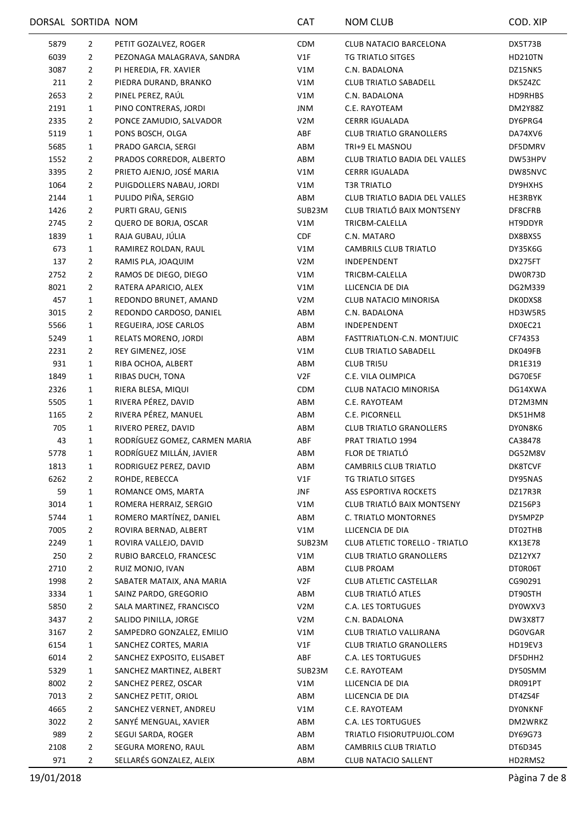|      | DORSAL SORTIDA NOM |                               | CAT              | <b>NOM CLUB</b>                       | COD. XIP       |
|------|--------------------|-------------------------------|------------------|---------------------------------------|----------------|
| 5879 | $\overline{2}$     | PETIT GOZALVEZ, ROGER         | <b>CDM</b>       | CLUB NATACIO BARCELONA                | DX5T73B        |
| 6039 | $\overline{2}$     | PEZONAGA MALAGRAVA, SANDRA    | V1F              | TG TRIATLO SITGES                     | <b>HD210TN</b> |
| 3087 | $\overline{2}$     | PI HEREDIA, FR. XAVIER        | V1M              | C.N. BADALONA                         | DZ15NK5        |
| 211  | $\overline{2}$     | PIEDRA DURAND, BRANKO         | V1M              | <b>CLUB TRIATLO SABADELL</b>          | DK5Z4ZC        |
| 2653 | $\overline{2}$     | PINEL PEREZ, RAÚL             | V1M              | C.N. BADALONA                         | HD9RHBS        |
| 2191 | $\mathbf{1}$       | PINO CONTRERAS, JORDI         | JNM              | C.E. RAYOTEAM                         | <b>DM2Y88Z</b> |
| 2335 | $\overline{2}$     | PONCE ZAMUDIO, SALVADOR       | V <sub>2</sub> M | CERRR IGUALADA                        | DY6PRG4        |
| 5119 | 1                  | PONS BOSCH, OLGA              | ABF              | <b>CLUB TRIATLO GRANOLLERS</b>        | DA74XV6        |
| 5685 | 1                  | PRADO GARCIA, SERGI           | ABM              | TRI+9 EL MASNOU                       | DF5DMRV        |
| 1552 | $\overline{2}$     | PRADOS CORREDOR, ALBERTO      | ABM              | <b>CLUB TRIATLO BADIA DEL VALLES</b>  | DW53HPV        |
| 3395 | $\overline{2}$     | PRIETO AJENJO, JOSÉ MARIA     | V1M              | <b>CERRR IGUALADA</b>                 | DW85NVC        |
| 1064 | 2                  | PUIGDOLLERS NABAU, JORDI      | V1M              | T3R TRIATLO                           | DY9HXHS        |
| 2144 | $\mathbf{1}$       | PULIDO PIÑA, SERGIO           | ABM              | <b>CLUB TRIATLO BADIA DEL VALLES</b>  | HE3RBYK        |
| 1426 | $\overline{2}$     | PURTI GRAU, GENIS             | SUB23M           | CLUB TRIATLÓ BAIX MONTSENY            | DF8CFRB        |
| 2745 | $\overline{2}$     | QUERO DE BORJA, OSCAR         | V1M              | TRICBM-CALELLA                        | HT9DDYR        |
| 1839 | $\mathbf{1}$       | RAJA GUBAU, JÚLIA             | <b>CDF</b>       | C.N. MATARO                           | DX8BXS5        |
| 673  | 1                  | RAMIREZ ROLDAN, RAUL          | V1M              | <b>CAMBRILS CLUB TRIATLO</b>          | DY35K6G        |
| 137  | $\overline{2}$     | RAMIS PLA, JOAQUIM            | V <sub>2</sub> M | INDEPENDENT                           | DX275FT        |
| 2752 | 2                  | RAMOS DE DIEGO, DIEGO         | V1M              | TRICBM-CALELLA                        | DW0R73D        |
| 8021 | $\overline{2}$     | RATERA APARICIO, ALEX         | V1M              | LLICENCIA DE DIA                      | DG2M339        |
| 457  | 1                  | REDONDO BRUNET, AMAND         | V <sub>2</sub> M | CLUB NATACIO MINORISA                 | DK0DXS8        |
| 3015 | 2                  | REDONDO CARDOSO, DANIEL       | ABM              | C.N. BADALONA                         | HD3W5R5        |
| 5566 | 1                  | REGUEIRA, JOSE CARLOS         | ABM              | INDEPENDENT                           | DX0EC21        |
| 5249 | 1                  | RELATS MORENO, JORDI          | ABM              | FASTTRIATLON-C.N. MONTJUIC            | CF74353        |
| 2231 | $\overline{2}$     | REY GIMENEZ, JOSE             | V1M              | <b>CLUB TRIATLO SABADELL</b>          | DK049FB        |
| 931  | $\mathbf{1}$       | RIBA OCHOA, ALBERT            | ABM              | <b>CLUB TRI5U</b>                     | DR1E319        |
| 1849 | 1                  | RIBAS DUCH, TONA              | V2F              | C.E. VILA OLIMPICA                    | DG70E5F        |
| 2326 | 1                  | RIERA BLESA, MIQUI            | CDM              | CLUB NATACIO MINORISA                 | DG14XWA        |
| 5505 | $\mathbf{1}$       | RIVERA PÉREZ, DAVID           | ABM              | C.E. RAYOTEAM                         | DT2M3MN        |
| 1165 | $\overline{2}$     | RIVERA PÉREZ, MANUEL          | ABM              | C.E. PICORNELL                        | DK51HM8        |
| 705  | 1                  | RIVERO PEREZ, DAVID           | ABM              | <b>CLUB TRIATLO GRANOLLERS</b>        | DY0N8K6        |
| 43   | 1                  | RODRÍGUEZ GOMEZ, CARMEN MARIA | ABF              | PRAT TRIATLO 1994                     | CA38478        |
| 5778 | 1                  | RODRÍGUEZ MILLÁN, JAVIER      | ABM              | FLOR DE TRIATLO                       | DG52M8V        |
| 1813 | $\mathbf{1}$       | RODRIGUEZ PEREZ, DAVID        | ABM              | <b>CAMBRILS CLUB TRIATLO</b>          | DK8TCVF        |
| 6262 | $\overline{2}$     | ROHDE, REBECCA                | V1F              | <b>TG TRIATLO SITGES</b>              | DY95NAS        |
| 59   | 1                  | ROMANCE OMS, MARTA            | <b>JNF</b>       | ASS ESPORTIVA ROCKETS                 | DZ17R3R        |
| 3014 | 1                  | ROMERA HERRAIZ, SERGIO        | V1M              | CLUB TRIATLÓ BAIX MONTSENY            | DZ156P3        |
| 5744 | 1                  | ROMERO MARTÍNEZ, DANIEL       | ABM              | C. TRIATLO MONTORNES                  | DY5MPZP        |
| 7005 | 2                  | ROVIRA BERNAD, ALBERT         | V1M              | LLICENCIA DE DIA                      | DT02THB        |
| 2249 | 1                  | ROVIRA VALLEJO, DAVID         | SUB23M           | <b>CLUB ATLETIC TORELLO - TRIATLO</b> | KX13E78        |
| 250  | 2                  | RUBIO BARCELO, FRANCESC       | V1M              | <b>CLUB TRIATLO GRANOLLERS</b>        | DZ12YX7        |
| 2710 | $\overline{2}$     | RUIZ MONJO, IVAN              | ABM              | <b>CLUB PROAM</b>                     | DT0R06T        |
| 1998 | 2                  | SABATER MATAIX, ANA MARIA     | V2F              | <b>CLUB ATLETIC CASTELLAR</b>         | CG90291        |
| 3334 | 1                  | SAINZ PARDO, GREGORIO         | ABM              | CLUB TRIATLÓ ATLES                    | DT90STH        |
| 5850 | $\overline{2}$     | SALA MARTINEZ, FRANCISCO      | V <sub>2</sub> M | <b>C.A. LES TORTUGUES</b>             | DY0WXV3        |
| 3437 | $\mathbf{2}$       | SALIDO PINILLA, JORGE         | V <sub>2</sub> M | C.N. BADALONA                         | DW3X8T7        |
| 3167 | $\overline{2}$     | SAMPEDRO GONZALEZ, EMILIO     | V1M              | CLUB TRIATLO VALLIRANA                | <b>DG0VGAR</b> |
| 6154 | 1                  | SANCHEZ CORTES, MARIA         | V1F              | <b>CLUB TRIATLO GRANOLLERS</b>        | HD19EV3        |
| 6014 | $\overline{2}$     | SANCHEZ EXPOSITO, ELISABET    | ABF              | C.A. LES TORTUGUES                    | DF5DHH2        |
| 5329 | 1                  | SANCHEZ MARTINEZ, ALBERT      | SUB23M           | C.E. RAYOTEAM                         | DY50SMM        |
| 8002 | $\overline{2}$     | SANCHEZ PEREZ, OSCAR          | V1M              | LLICENCIA DE DIA                      | DR091PT        |
| 7013 | $\overline{2}$     | SANCHEZ PETIT, ORIOL          | ABM              | LLICENCIA DE DIA                      | DT4ZS4F        |
| 4665 | $\overline{2}$     | SANCHEZ VERNET, ANDREU        | V1M              | C.E. RAYOTEAM                         | <b>DYONKNF</b> |
| 3022 | $\overline{2}$     | SANYÉ MENGUAL, XAVIER         | ABM              | <b>C.A. LES TORTUGUES</b>             | DM2WRKZ        |
| 989  | $\overline{2}$     | SEGUI SARDA, ROGER            | ABM              | TRIATLO FISIORUTPUJOL.COM             | DY69G73        |
| 2108 | $\overline{2}$     | SEGURA MORENO, RAUL           | ABM              | <b>CAMBRILS CLUB TRIATLO</b>          | DT6D345        |
| 971  | $\overline{2}$     | SELLARÉS GONZALEZ, ALEIX      | ABM              | CLUB NATACIO SALLENT                  | HD2RMS2        |
|      |                    |                               |                  |                                       |                |